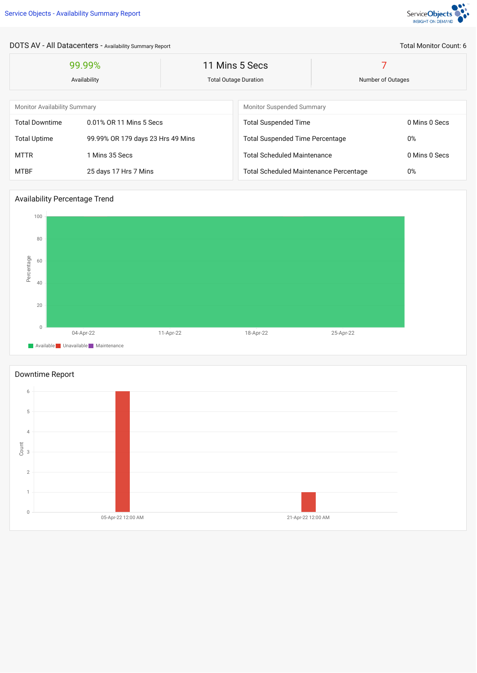

# DOTS AV - All Datacenters - Availability Summary Report

| 99.99%<br>Availability              |                                   | 11 Mins 5 Secs<br><b>Total Outage Duration</b> |                                               | Number of Outages |               |  |
|-------------------------------------|-----------------------------------|------------------------------------------------|-----------------------------------------------|-------------------|---------------|--|
|                                     |                                   |                                                |                                               |                   |               |  |
| <b>Monitor Availability Summary</b> |                                   |                                                | Monitor Suspended Summary                     |                   |               |  |
| <b>Total Downtime</b>               | 0.01% OR 11 Mins 5 Secs           |                                                | <b>Total Suspended Time</b>                   | 0 Mins 0 Secs     |               |  |
| <b>Total Uptime</b>                 | 99.99% OR 179 days 23 Hrs 49 Mins |                                                | <b>Total Suspended Time Percentage</b>        |                   | 0%            |  |
| <b>MTTR</b>                         | 1 Mins 35 Secs                    |                                                | <b>Total Scheduled Maintenance</b>            |                   | 0 Mins 0 Secs |  |
| <b>MTBF</b>                         | 25 days 17 Hrs 7 Mins             |                                                | <b>Total Scheduled Maintenance Percentage</b> |                   | 0%            |  |

## Availability Percentage Trend





#### Total Monitor Count: 6